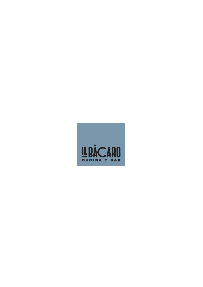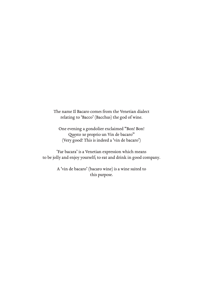The name Il Bacaro comes from the Venetian dialect relating to 'Bacco' (Bacchus) the god of wine.

One evening a gondolier exclaimed "Bon! Bon! Questo xe proprio un Vin de bacaro" (Very good! This is indeed a 'vin de bacaro')

'Far bacara' is a Venetian expression which means to be jolly and enjoy yourself; to eat and drink in good company.

> A 'vin de bacaro' (bacaro wine) is a wine suited to this purpose.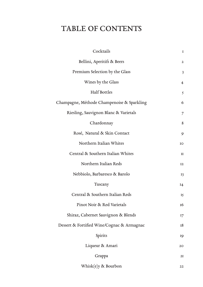# TABLE OF CONTENTS

| Cocktails                                  | $\mathbf I$             |
|--------------------------------------------|-------------------------|
| Bellini, Aperitifs & Beers                 | $\mathbf{2}$            |
| Premium Selection by the Glass             | $\overline{\mathbf{3}}$ |
| Wines by the Glass                         | $\overline{4}$          |
| <b>Half Bottles</b>                        | $\mathcal{S}$           |
| Champagne, Méthode Champenoise & Sparkling | 6                       |
| Riesling, Sauvignon Blanc & Varietals      | $\overline{7}$          |
| Chardonnay                                 | 8                       |
| Rosé, Natural & Skin Contact               | 9                       |
| Northern Italian Whites                    | <b>IO</b>               |
| Central & Southern Italian Whites          | II                      |
| Northern Italian Reds                      | 12                      |
| Nebbiolo, Barbaresco & Barolo              | <b>I3</b>               |
| Tuscany                                    | I4                      |
| Central & Southern Italian Reds            | I <sub>5</sub>          |
| Pinot Noir & Red Varietals                 | 16                      |
| Shiraz, Cabernet Sauvignon & Blends        | 17                      |
| Dessert & Fortified Wine/Cognac & Armagnac | 18                      |
| Spirits                                    | 19                      |
| Liqueur & Amari                            | 20 <sub>o</sub>         |
| Grappa                                     | 2I                      |
| Whisk $(e)y$ & Bourbon                     | 22                      |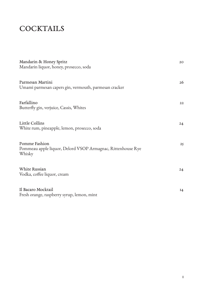# **COCKTAILS**

| Mandarin & Honey Spritz<br>Mandarin liquor, honey, prosecco, soda                             | 20 <sub>o</sub> |
|-----------------------------------------------------------------------------------------------|-----------------|
| Parmesan Martini<br>Umami parmesan capers gin, vermouth, parmesan cracker                     | 26              |
| Farfallino<br>Butterfly gin, verjuice, Cassis, Whites                                         | 22              |
| <b>Little Collins</b><br>White rum, pineapple, lemon, prosecco, soda                          | 24              |
| <b>Pomme Fashion</b><br>Pommeau apple liquor, Delord VSOP Armagnac, Rittenhouse Rye<br>Whisky | 25              |
| <b>White Russian</b><br>Vodka, coffee liquor, cream                                           | 24              |
| Il Bacaro Mocktail<br>Fresh orange, raspberry syrup, lemon, mint                              | I4              |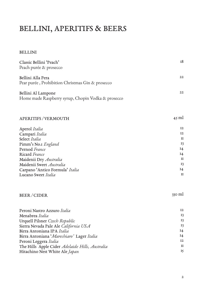# BELLINI, APERITIFS & BEERS

#### BELLINI

| Classic Bellini 'Peach'<br>Peach purée & prosecco                        | 18 |
|--------------------------------------------------------------------------|----|
| Bellini Alla Pera<br>Pear purée, Prohibition Christmas Gin & prosecco    | 22 |
| Bellini Al Lampone<br>Home made Raspberry syrup, Chopin Vodka & prosecco | 22 |

| <b>APERITIFS / VERMOUTH</b>     | $45$ ml      |
|---------------------------------|--------------|
| Aperol Italia                   | $12 \,$      |
| Campari Italia                  | 12           |
| Select Italia                   | $\mathbf{I}$ |
| Pimm's No.1 England             | <b>13</b>    |
| Pernod France                   | 14           |
| Ricard France                   | I4           |
| Maidenii Dry Australia          | $\mathbf{I}$ |
| Maidenii Sweet Australia        | <b>13</b>    |
| Carpano 'Antico Formula' Italia | 14           |
| Lucano Sweet Italia             | $\mathbf{H}$ |
|                                 |              |

#### BEER / CIDER

| Peroni Nastro Azzuro Italia                     | 12              |
|-------------------------------------------------|-----------------|
| Menabrea Italia                                 | 13              |
| Urquell Pilsner Czech Republic                  | 13              |
| Sierra Nevada Pale Ale California USA           | 13              |
| Birra Antoniana IPA Italia                      | 14              |
| Birra Antoniana 'Marechiaro' Lager Italia       | 14              |
| Peroni Leggera Italia                           | 12              |
| The Hills Apple Cider Adelaide Hills, Australia | $\mathbf{I}$    |
| Hitachino Nest White Ale Japan                  | $\overline{15}$ |
|                                                 |                 |

330 ml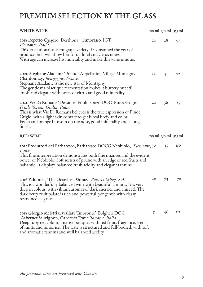# PREMIUM SELECTION BY THE GLASS

| <b>WHITE WINE</b>                                                                                                                                                                                                                                                                                                        |                 | $\frac{1}{2}$ rooml $\frac{1}{2}$ rooml $\frac{1}{2}$ rooml    |                 |
|--------------------------------------------------------------------------------------------------------------------------------------------------------------------------------------------------------------------------------------------------------------------------------------------------------------------------|-----------------|----------------------------------------------------------------|-----------------|
| 2018 Repetto Quadro 'Derthona' Timorasso IGT<br>Piemonte, Italia.<br>This exceptional ancient grape variety if Consumed the year of<br>production it will show beautiful floral and citrus notes.<br>With age can increase his minerality and make this wine unique.                                                     | 20 <sub>o</sub> | 28                                                             | 65              |
| 2020 Stephane Aladame 'Prelude'Appellation Village Montagny<br>Chardonnay, Bourgogne, France.<br>Stephane Aladame is the new star of Montagny.<br>The gentle malolactique fermentation makes it buttery but still<br>fresh and elegant with notes of citrus and good minerality.                                         | 22              | 3I                                                             | 72              |
| 2020 Vie Di Romans 'Dessimis' Friuli Isonzo DOC Pinot Grigio<br>Friuli Venezia Giulia, Italia.<br>This is what Vie Di Romans believes is the true espression of Pinot<br>Grigio, with a light skin contact to get is real body and color.<br>Peach and orange blossom on the nose, good minerality and a long<br>finish. | 24              | 36                                                             | 85              |
| <b>RED WINE</b>                                                                                                                                                                                                                                                                                                          |                 | $\frac{1}{2}$ roo ml $\frac{1}{2}$ iso ml $\frac{1}{2}$ iso ml |                 |
| 2015 Produttori del Barbaresco, Barbaresco DOCG Nebbiolo, Piemonte, 30<br>Italia.<br>This fine interpretation demonstrates both fine nuances and the evident<br>power of Nebbiolo. Soft scents of prune with an edge of red fruits and<br>balsamic. It displays balanced fresh acidity and elegant tannins.              |                 | 45                                                             | <b>IIO</b>      |
| 2016 Yalumba, 'The Octavius' Shiraz, Barossa Valley, S.A.<br>This is a wonderfully balanced wine with beautiful tannins. It is very<br>deep in colour with vibrant aromas of dark cherries and aniseed. The<br>dark berry fruit palate is rich and powerful, yet gentle with classy<br>restrained elegance.              | 49              | 73                                                             | 179             |
| 2018 Giorgio Meletti Cavallari 'Impronte' Bolgheri DOC<br>Cabernet Sauvignon, Cabernet Franc Toscana, Italia.<br>Deep ruby red colour, intense bouquet with red fruits fragrance, scent<br>of mints and liquorice. The taste is structured and full-bodied, with soft<br>and aromatic tannins and well balanced acidity. | 3I              | 46                                                             | II <sub>3</sub> |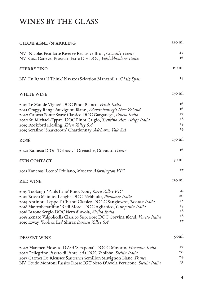# WINES BY THE GLASS

| CHAMPAGNE/SPARKLING                                                                                                                                                                                                                                                                                                                                                                                                                                           | $120$ ml                               |
|---------------------------------------------------------------------------------------------------------------------------------------------------------------------------------------------------------------------------------------------------------------------------------------------------------------------------------------------------------------------------------------------------------------------------------------------------------------|----------------------------------------|
| NV Nicolas Feuillatte Reserve Exclusive Brut, Chouilly France<br>NV Casa Canevel Prosecco Extra Dry DOC, Valdobbiadene Italia                                                                                                                                                                                                                                                                                                                                 | 28<br>16                               |
| <b>SHERRY FINO</b>                                                                                                                                                                                                                                                                                                                                                                                                                                            | 60 ml                                  |
| NV En Rama 'I Think' Navazos Selection Manzanilla, Cádiz Spain                                                                                                                                                                                                                                                                                                                                                                                                | I4                                     |
| WHITE WINE                                                                                                                                                                                                                                                                                                                                                                                                                                                    | $150$ ml                               |
| 2019 Le Monde Vigneti DOC Pinot Bianco, Friuli Italia<br>2021 Craggy Range Sauvignon Blanc, Martinborough New Zeland<br>2020 Canoso Fonte Soave Classico DOC Garganega, Veneto Italia                                                                                                                                                                                                                                                                         | I <sub>6</sub><br>16<br>17<br>18       |
| 2020 St. Michael-Eppan DOC Pinot Grigio, Trentino Alto Adige Italia<br>2019 Rockford Riesling, Eden Valley SA<br>2019 Serafino 'Sharktooth' Chardonnay, McLaren Vale SA                                                                                                                                                                                                                                                                                       | 19<br>19                               |
| ROSÉ                                                                                                                                                                                                                                                                                                                                                                                                                                                          | 150 ml                                 |
| 2020 Rameau D'Or 'Debussy' Grenache, Cinsault, France                                                                                                                                                                                                                                                                                                                                                                                                         | 16                                     |
| <b>SKIN CONTACT</b>                                                                                                                                                                                                                                                                                                                                                                                                                                           | $150$ ml                               |
| 2021 Kanenas 'Leeno' Friulano, Moscato Mornington VIC                                                                                                                                                                                                                                                                                                                                                                                                         | 17                                     |
| <b>RED WINE</b>                                                                                                                                                                                                                                                                                                                                                                                                                                               | $150$ ml                               |
| 2019 Toolangi 'Pauls Lane' Pinot Noir, Yarra Valley VIC<br>2019 Bricco Maiolica Langhe DOC Nebbiolo, Piemonte Italia<br>2019 Antinori 'Peppoli' Chianti Classico DOCG Sangiovese, Toscana Italia<br>2018 Mastroberardino 'Redi More' DOC Aglianico, Campania Italia<br>2018 Barone Sergio DOC Nero d'Avola, Sicilia Italia<br>2018 Zenato Valpolicella Classico Superiore DOC Corvina Blend, Veneto Italia<br>2019 Izway 'Rob & Les' Shiraz Barossa Valley SA | 2I<br>20<br>18<br>19<br>18<br>18<br>I7 |
| DESSERT WINE                                                                                                                                                                                                                                                                                                                                                                                                                                                  | 90 <sub>ml</sub>                       |

| 2020 Marenco Moscato D'Asti 'Scrapona' DOCG Moscato, Piemonte Italia      | 17 |
|---------------------------------------------------------------------------|----|
| 2020 Pellegrino Passito di Pantelleria DOC Zibibbo, Sicilia Italia        | 20 |
| 2017 Carmes De Rieussec Sauternes Semillon Sauvignon Blanc, France        | 24 |
| NV Feudo Montoni Passito Rosso IGT Nero D'Avola Perricone, Sicilia Italia | 35 |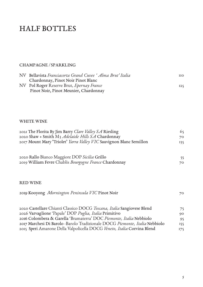## HALF BOTTLES

#### CHAMPAGNE / SPARKLING

| NV Bellavista Franciacorta Grand Cuvee 'Alma Brut'Italia | IIO. |
|----------------------------------------------------------|------|
| Chardonnay, Pinot Noir Pinot Blanc                       |      |
| NV Pol Roger Reserve Brut, Epernay France                | 125  |
| Pinot Noir, Pinot Meunier, Chardonnay                    |      |

#### WHITE WINE

| 2021 The Florita By Jim Barry Clare Valley SA Riesling<br>2020 Shaw + Smith M3 Adelaide Hills SA Chardonnay | 65<br>70 |
|-------------------------------------------------------------------------------------------------------------|----------|
| 2017 Mount Mary 'Triolet' Yarra Valley VIC Sauvignon Blanc Semillon                                         | 135      |
| 2020 Rallo Bianco Maggiore DOP Sicilia Grillo                                                               | 55       |
| 2019 William Fevre Chablis Bourgogne France Chardonnay                                                      | 70       |
|                                                                                                             |          |
| <b>RED WINE</b>                                                                                             |          |
| 2019 Kooyong Mornington Peninsula VIC Pinot Noir                                                            | 70       |
| 2020 Castellare Chianti Classico DOCG Toscana, Italia Sangiovese Blend                                      | 75       |
| 2026 Varvaglione 'Papale' DOP Puglia, Italia Primitivo                                                      | 90       |
| 2016 Colombera & Garella 'Bramaterra' DOC Piemonte, Italia Nebbiolo                                         |          |
|                                                                                                             | 95       |

| 2017 Marchesi Di Barolo -Barolo Tradizionale DOCG Piemonte, Italia Nebbiolo | 155 |
|-----------------------------------------------------------------------------|-----|
| 2015 Speri Amarone Della Valpolicella DOCG Veneto, Italia Corvina Blend     | 175 |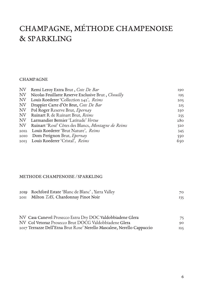# CHAMPAGNE, MÉTHODE CHAMPENOISE & SPARKLING

#### CHAMPAGNE

| NV | Remi Leroy Extra Brut, Cote De Bar                    | 190 |
|----|-------------------------------------------------------|-----|
| NV | Nicolas Feuillatte Reserve Exclusive Brut, Chouilly   | 195 |
| NV | Louis Roederer 'Collection 242', Reims                | 205 |
| NV | Drappier Carte d'Or Brut, Cote De Bar                 | 215 |
| NV | Pol Roger Reserve Brut, Epernay                       | 250 |
| NV | Ruinart R de Ruinart Brut, Reims                      | 255 |
|    | NV Larmandier Bernier 'Latitude' Vertus               | 280 |
|    | NV Ruinart 'Rosé' Côtes des Blancs, Montagne de Reims | 320 |
|    | 2012 Louis Roederer 'Brut Nature', Reims              | 345 |
|    | 2010 Dom Perignon Brut, Epernay                       | 550 |
|    | 2013 Louis Roederer 'Cristal', Reims                  | 650 |
|    |                                                       |     |

#### METHODE CHAMPENOISE / SPARKLING

| 2019 Rochford Estate 'Blanc de Blanc', Yarra Valley | 70  |
|-----------------------------------------------------|-----|
| 2011 Milton TAS, Chardonnay Pinot Noir              | 135 |
|                                                     |     |

| NV Casa Canevel Prosecco Extra Dry DOC Valdobbiadene Glera              | 75  |
|-------------------------------------------------------------------------|-----|
| NV Col Vetoraz Prosecco Brut DOCG Valdobbiadene Glera                   | 90  |
| 2017 Terrazze Dell'Etna Brut Rose' Nerello Mascalese, Nerello Cappuccio | 125 |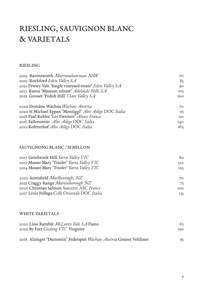# RIESLING, SAUVIGNON BLANC & VARIETALS

#### RIESLING

| 2019 Ravensworth Murrumbateman NSW                       | 70           |
|----------------------------------------------------------|--------------|
| 2019 Rockford Eden Valley SA                             | 85           |
| 2021 Pewsey Vale 'Single vineyard estate' Eden Valley SA | 90           |
| 2013 Kanta 'Museum release' Adelaide Hills SA            | 105          |
| 2021 Grosset 'Polish Hill' Clare Valley SA               | 160          |
| 2020 Domäne Wachau Wachau Austria                        | 70           |
| 2020 St Michael Eppan 'Montiggl' Alto Adige DOC Italia   | 95           |
| 2018 Paul Kubler 'Les Pierriers' Alsace France           | $_{\rm IIO}$ |
| 2016 Falkenstein Alto Adige DOC Italia                   | I40          |

#### SAUVIGNONG BLANC / SEMILLON

Kofererhof *Alto Adige* DOC *Italia*

| 2017 Gembrook Hill Yarra Valley VIC           | 80              |
|-----------------------------------------------|-----------------|
| 2017 Mount Mary 'Triolet' Yarra Valley VIC    | 2I <sub>O</sub> |
| 2014 Mount Mary 'Triolet' Yarra Valley VIC    | 255             |
| 2020 Auntsfield Marlborough, NZ               | 70              |
| 2021 Craggy Range Martinborough NZ            | 75              |
| 2020 Christian Salmon Sancerre ASC France     | <b>IOO</b>      |
| 2017 Livio Felluga Colli Orientali DOC Italia | 135             |

#### WHITE VARIETALS

| 2020 Lino Ramble McLaren Vale SA Fiano                               | 65  |
|----------------------------------------------------------------------|-----|
| 2020 By Farr Geelong VIC Viognier                                    | 190 |
| 2018 Alzinger 'Durnstein' Federspiel Wachau Austria Gruner Veltliner | 95. |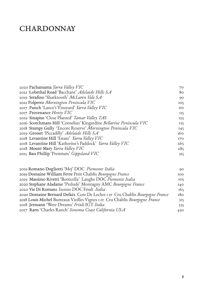# **CHARDONNAY**

| 2020 Pachamama Yarra Valley VIC                                     | 70              |
|---------------------------------------------------------------------|-----------------|
| 2021 Lobethal Road 'Bacchant' Adelaide Hills SA                     | 80              |
| 2019 Serafino 'Sharktooth' McLaren Vale SA                          | 90              |
| 2021 Polperro Mornington Peninsula VIC                              | IO <sub>5</sub> |
| 2017 Punch 'Lance's Vineyard' Yarra Valley VIC                      | <b>IIO</b>      |
| 2017 Provenance Henty VIC                                           | II <sub>5</sub> |
| 2019 Sinapius 'Close Planted' Tamar Valley TAS                      | 125             |
| 2016 Scotchmans Hill 'Cornelius' Kingardine Bellarine Peninsula VIC | 135             |
| 2018 Stumpy Gully 'Encore Reserve' Mornington Peninsula VIC         | 145             |
| 2019 Grosset 'Piccadilly' Adelaide Hills SA                         | 160             |
| 2018 Levantine Hill 'Estate' Yarra Valley VIC                       | 170             |
| 2018 Levantine Hill 'Katherine's Paddock' Yarra Valley VIC          | 265             |
| 2018 Mount Mary Yarra Valley VIC                                    | 285             |
| 2015 Bass Phillip 'Premium' Gippsland VIC                           | 315             |
|                                                                     |                 |

| 2019 Romano Dogliotti 'Mej' DOC Piemonte Italia                              | 90              |
|------------------------------------------------------------------------------|-----------------|
| 2019 Domaine William Fevre Petit Chablis Bourgogne France                    | 100             |
| 2019 Massimo Rivetti 'Botticella' Langhe DOC Piemonte Italia                 | IO <sub>5</sub> |
| 2020 Stephane Aladame 'Prelude' Montagny AMC Bourgogne France                | I40             |
| 2020 Vie Di Romans Isonzo DOC Friuli Italia                                  | 165             |
| 2020 Domaine Bernard Defaix Cote De Lechet I er Cru Chablis Bourgogne France | 180             |
| 2018 Louis Michel Butteaux Vieilles Vignes I er Cru Chablis Bourgogne France | 315             |
| 2018 Jermann 'Were Dreams' Friuli IGT Italia                                 | 335             |
| 2017 Raen 'Charles Ranch' Sonoma Coast California USA                        | 430             |
|                                                                              |                 |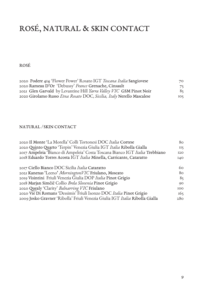# ROSÉ, NATURAL & SKIN CONTACT

ROSÉ

| 2020 Podere 414 'Flower Power' Rosato IGT Toscana Italia Sangiovese   | 70              |
|-----------------------------------------------------------------------|-----------------|
| 2020 Rameau D'Or 'Debussy' France Grenache, Cinsault                  | 75              |
| 2021 Glen Garvald by Levantine Hill Yarra Valley VIC GSM Pinot Noir   | 85              |
| 2020 Girolamo Russo Etna Rosato DOC, Sicilia, Italy Nerello Mascalese | IO <sub>5</sub> |

#### NATURAL / SKIN CONTACT

| 2020 Il Monte 'La Morella' Colli Tortonesi DOC Italia Cortese                | 80              |
|------------------------------------------------------------------------------|-----------------|
| 2020 Quinto Quarto 'Terpin' Venezia Giulia IGT Italia Ribolla Gialla         | $II\zeta$       |
| 2017 Ampeleia 'Bianco di Ampeleia' Costa Toscana Bianco IGT Italia Trebbiano | 120             |
| 2018 Eduardo Torres Acosta IGT Italia Minella, Carricante, Cataratto         | I40             |
|                                                                              |                 |
| 2017 Ciello Bianco DOC Sicilia Italia Cataratto                              | 60              |
| 2021 Kanenas 'Leeno' MorningtonVIC Friulano, Moscato                         | 80              |
| 2019 Visintini Friuli Venezia Giulia DOP Italia Pinot Grigio                 | 85              |
| 2018 Marjan Simčič Collio Brda Slovenia Pinot Grigio                         | 90              |
| 2020 Quealy 'Clarity' Balnarring VIC Friulano                                | 100             |
| 2020 Vie Di Romans 'Dessimis' Friuli Isonzo DOC Italia Pinot Grigio          | 165             |
| 2009 Josko Gravner 'Ribolla' Friuli Venezia Giulia IGT Italia Ribolla Gialla | 28 <sub>O</sub> |
|                                                                              |                 |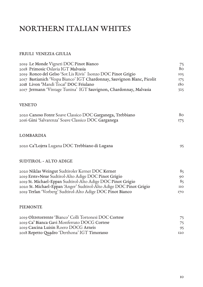# NORTHERN ITALIAN WHITES

#### FRIULI VENEZIA GIULIA

| 2019 Le Monde Vigneti DOC Pinot Bianco<br>2018 Primosic Oslavia IGT Malvasia | 75<br>80   |
|------------------------------------------------------------------------------|------------|
| 2019 Ronco del Gelso 'Sot Lis Rivis' Isonzo DOC Pinot Grigio                 | 105        |
| 2017 Bastianich 'Vespa Bianco' IGT Chardonnay, Sauvignon Blanc, Picolit      | 175        |
| 2018 Livon 'Mandi Tocai' DOC Friulano                                        | 180        |
| 2017 Jermann 'Vintage Tunina' IGT Sauvignon, Chardonnay, Malvasia            | 325        |
| <b>VENETO</b>                                                                |            |
| 2020 Canoso Fonte Soave Classico DOC Garganega, Trebbiano                    | 80         |
| 2016 Gini 'Salvarenza' Soave Classico DOC Garganega                          | 175        |
| LOMBARDIA                                                                    |            |
| 2020 Ca'Lojera Lugana DOC Trebbiano di Lugana                                | 95         |
| SUDTIROL - ALTO ADIGE                                                        |            |
| 2020 Niklas Weingut Sudtiroler Kerner DOC Kerner                             | 85         |
| 2019 Erste+Neue Sudtirol-Alto Adige DOC Pinot Grigio                         | 90         |
| 2019 St. Michael-Eppan Sudtirol-Alto Adige DOC Pinot Grigio                  | 85         |
| 2020 St. Michael-Eppan 'Anger' Sudtirol-Alto Adige DOC Pinot Grigio          | <b>IIO</b> |
| 2019 Terlan 'Vorberg' Sudtirol-Alto Adige DOC Pinot Bianco                   | <b>170</b> |
| <b>PIEMONTE</b>                                                              |            |
| 2019 Oltretorrente 'Bianco' Colli Tortonesi DOC Cortese                      | 75         |
| 2019 Ca' Bianca Gavi Monferrato DOCG Cortese                                 | 75         |
| 2019 Cascina Luisin Roero DOCG Arneis                                        | 95         |
| 2018 Repetto Quadro 'Derthona' IGT Timorasso                                 | <b>I2O</b> |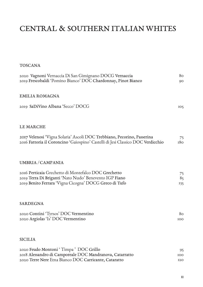# CENTRAL & SOUTHERN ITALIAN WHITES

| <b>TOSCANA</b>                                                                                                                                                           |                 |
|--------------------------------------------------------------------------------------------------------------------------------------------------------------------------|-----------------|
| 2020 Vagnoni Vernaccia Di San Gimignano DOCG Vernaccia<br>2019 Frescobaldi 'Pomino Bianco' DOC Chardonnay, Pinot Bianco                                                  | 80<br>90        |
| <b>EMILIA ROMAGNA</b>                                                                                                                                                    |                 |
| 2019 SaDiVino Albana 'Secco' DOCG                                                                                                                                        | IO <sub>5</sub> |
| LE MARCHE                                                                                                                                                                |                 |
| 2017 Velenosi 'Vigna Solaria' Ascoli DOC Trebbiano, Pecorino, Passerina<br>2016 Fattoria il Coroncino 'Gaiospino' Castelli di Jesi Classico DOC Verdicchio               | 75<br>180       |
| UMBRIA / CAMPANIA                                                                                                                                                        |                 |
| 2016 Perticaia Grechetto di Montefalco DOC Grechetto<br>2019 Terra Di Briganti 'Nato Nudo' Benevento IGP Fiano<br>2019 Benito Ferrara 'Vigna Cicogna' DOCG Greco di Tufo | 75<br>85<br>135 |
| <b>SARDEGNA</b>                                                                                                                                                          |                 |
| 2020 Contini 'Tyrsos' DOC Vermentino<br>2020 Argiolas 'Is' DOC Vermentino                                                                                                | 80<br>100       |
| <b>SICILIA</b>                                                                                                                                                           |                 |
| 2020 Feudo Montoni 'Timpa' DOC Grillo                                                                                                                                    | 95              |
| 2018 Alessandro di Camporeale DOC Mandranova, Catarratto                                                                                                                 | 100             |
| 2020 Terre Nere Etna Bianco DOC Carricante, Cataratto                                                                                                                    | <b>I2O</b>      |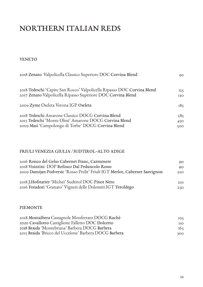# NORTHERN ITALIAN REDS

VENETO

| 2018 Zenato Valpolicella Classico Superiore DOC Corvina Blend           | 90  |
|-------------------------------------------------------------------------|-----|
| 2018 Tedeschi 'Capite San Rocco' Valpolicella Ripasso DOC Corvina Blend | 125 |
| 2017 Zenato Valpolicella Ripasso Superiore DOC Corvina Blend            | 130 |
| 2009 Zyme Oseleta Verona IGP Oseleta                                    | 185 |
| 2018 Tedeschi Amarone Classico DOCG Corvina Blend                       | 285 |
| 2013 Tedeschi 'Monte Olmi' Amarone DOCG Corvina Blend                   | 450 |
| 2009 Masi 'Campolongo di Torbe' DOCG Corvina Blend                      | 500 |

#### FRIULI VENEZIA GIULIA / SUDTIROL-ALTO ADIGE

| 2016 Ronco del Gelso Cabernet Franc, Carmenere<br>2018 Visintini DOP Refosco Dal Peduncolo Rosso | 90<br>90 |
|--------------------------------------------------------------------------------------------------|----------|
| 2009 Damijan Podversic 'Rosso Prelit' Friuli IGT Merlot, Cabernet Sauvignon                      | 220      |
| 2018 J.Hofstatter 'Michei' Sudtirol DOC Pinot Nero                                               | 2IQ      |
| 2016 Foradori 'Granato' Vigneti delle Dolomiti IGT Teroldego                                     | 230      |

#### PIEMONTE

| 2018 Montalbera Castagnole Monferrato DOCG Ruchè       | IO <sub>5</sub> |
|--------------------------------------------------------|-----------------|
| 2020 Cavallotto Castiglione Falletto DOC Dolcetto      | <b>IIO</b>      |
| 2018 Braida 'Montebruna' Barbera DOCG Barbera          | 165             |
| 2013 Braida 'Bricco del Uccelone' Barbera DOCG Barbera | 300             |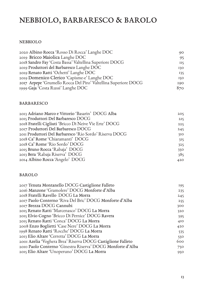# NEBBIOLO, BARBARESCO & BAROLO

#### NEBBIOLO

| 2020 Albino Rocca 'Rosso Di Rocca' Langhe DOC                   | 90              |
|-----------------------------------------------------------------|-----------------|
| 2019 Bricco Maiolica Langhe DOC                                 | 95              |
| 2018 Sandro Fay 'Costa Bassa' Valtellina Superiore DOCG         | II <sub>5</sub> |
| 2019 Produttori del Barbaresco Langhe DOC                       | 130             |
| 2019 Renato Ratti 'Ochetti' Langhe DOC                          | 135             |
| 2019 Domenico Clerico 'Capisme-e' Langhe DOC                    | 150             |
| 2017 Arpepe 'Grumello Rocca Del Piro' Valtellina Superiore DOCG | 190             |
| 1999 Gaja 'Costa Russi' Langhe DOC                              | 870             |

#### BARBARESCO

| 2013 Adriano Marco e Vittorio 'Basarin' DOCG Alba       | 205 |
|---------------------------------------------------------|-----|
| 2015 Produttori Del Barbaresco DOCG                     | 2I5 |
| 2018 Fratelli Cigliuti 'Bricco Di Neive Vie Erte' DOCG  | 225 |
| 2017 Produttori Del Barbaresco DOCG                     | 245 |
| 2011 Produttori Del Barbaresco 'Rio Sordo' Riserva DOCG | 310 |
| 2018 Ca' Rome 'Chiaramanti' DOCG                        | 315 |
| 2018 Ca' Rome 'Rio Sordo' DOCG                          | 325 |
| 2015 Bruno Rocca 'Rabaja' DOCG                          | 350 |
| 2013 Bera 'Rabaja Riserva' DOCG                         | 385 |
| 2014 Albino Rocca 'Angelo' DOCG                         | 420 |
|                                                         |     |

#### BAROLO

| 2017 Tenuta Montanello DOCG Castiglione Falleto             | 195             |
|-------------------------------------------------------------|-----------------|
| 2016 Manzone 'Gramolere' DOCG Monforte d'Alba               | 235             |
| 2018 Fratelli Ravello DOCG La Morra                         | 245             |
| 2017 Paolo Conterno 'Riva Del Bric' DOCG Monforte d'Alba    | 255             |
| 2017 Brezza DOCG Cannubi                                    | 300             |
| 2015 Renato Ratti 'Marcenasco' DOCG La Morra                | 320             |
| 2015 Elvio Cogno 'Bricco Di Pernice' DOCG Ravera            | 395             |
| 2015 Renato Ratti 'Conca' DOCG La Morra                     | 4I <sub>0</sub> |
| 2008 Enzo Boglietti 'Case Nere' DOCG La Morra               | 420             |
| 1998 Renato Ratti 'Rocche' DOCG La Morra                    | 535             |
| 2013 Elio Altare 'Cerretta' DOCG La Morra                   | 550             |
| 2001 Azelia 'Voghera Brea' Riserva DOCG Castiglione Falleto | 600             |
| 2010 Paolo Conterno 'Ginestra Riserva' DOCG Monforte d'Alba | 750             |
| 2015 Elio Altare 'Unoperuno' DOCG La Morra                  | 950             |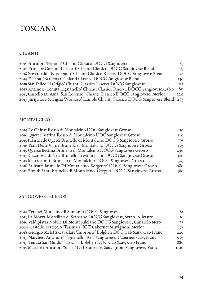### TOSCANA

#### CHIANTI

| 2019 Antinori 'Peppoli' Chianti Classico DOCG Sangiovese                               | 85  |
|----------------------------------------------------------------------------------------|-----|
| 2019 Principe Corsini 'Le Corti' Chianti Classico DOCG Sangiovese Blend                | 95. |
| 2018 Frescobaldi 'Nipozzano' Chianti Classico Riserva DOCG Sangiovese Blend            | 125 |
| 2019 Felsina 'Bardenga' Chianti Classico DOCG Sangiovese Blend                         | 130 |
| 2018 San Felice 'Il Grigio' Chianti Classico Riserva DOCG Sangiovese                   | 135 |
| 2017 Antinori 'Tenuta Tignanello' Chianti Classico Riserva DOCG Sangiovese, Cab S. 180 |     |
| 2013 Castello Di Ama 'San Lorenzo' Chianti Classico DOCG Sangiovese, Merlot            | 220 |
| 2017 Jurij Fiore & Figlia 'Nonloso' Lamole Chianti Classico DOCG Sangiovese Blend 275  |     |

#### MONTALCINO

| 2019 Le Chiuse Rosso di Montalcino DOC Sangiovese Grosso                 | $_{\rm IIO}$ |
|--------------------------------------------------------------------------|--------------|
| 2016 Querce Bettina Rosso di Montalcino DOC Sangiovese Grosso            | I2O          |
| 2015 Pian Delle Querci Brunello di Montalcino DOCG Sangiovese Grosso     | 195          |
| 2016 Pian Delle Vigne Brunello di Montalcino DOCG Sangiovese Grosso      | 265          |
| 2015 Querce Bettina Brunello di Montalcino DOCG Sangiovese Grosso        | 290          |
| 2017 Casanova di Neri Brunello di Montalcino DOCG Sangiovese Grosso      | 320          |
| 2013 Mastrojanni Brunello di Montalcino DOCG Sangiovese Grosso           | 325          |
| 2016 Salicutti Brunello Di Montalcino 'Sorgente' DOCG Sangiovese Grosso  | 380          |
| 2012 Biondi Santi Brunello di Montalcino 'Greppo' DOCG Sangiovese Grosso | 580          |

#### SANGIOVESE / BLENDS

| 2019 Terenzi Morellino di Scansano DOCG Sangiovese                         | 85           |
|----------------------------------------------------------------------------|--------------|
| 2015 La Mozza Morellino di Scansano DOCG Sangiovese, Syrah, Alicante       | $_{\rm IIO}$ |
| 2016 Valdipiatta Nobile Di Montepulciano DOCG Sangiovese, Canaiolo Nero    | 125          |
| 2008 Castello Terriccio 'Tassinaia' IGT Cabernet Sauvignon, Merlot         | 175          |
| 2018 Giorgio Meletti Cavallari 'Impronte' Bolgheri DOC Cab Sauv, Cab Franc | 220          |
| 2017 Marchesi Antinori 'Tignanello' IGT Sangiovese, Cabernet Sauv, Franc   | 665          |
| 2017 Tenuta San Guido 'Sassicaia' Bolgheri DOC Cab Sauv, Cab Franc         | 880          |
| 2015 Marchesi Antinori 'Solaia' IGT Cabernet Sauvignon, Sangiovese, Franc  | <b>IIOO</b>  |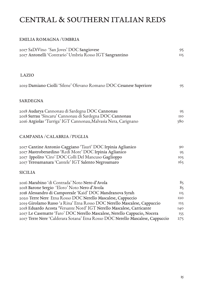# CENTRAL & SOUTHERN ITALIAN REDS

#### EMILIA ROMAGNA / UMBRIA

| 2017 SaDiVino 'San Joves' DOC Sangiovese<br>2017 Antonelli 'Contrario' Umbria Rosso IGT Sangrantino | 95<br>II <sub>5</sub> |
|-----------------------------------------------------------------------------------------------------|-----------------------|
| <b>LAZIO</b>                                                                                        |                       |
| 2019 Damiano Ciolli 'Silene' Olevano Romano DOC Cesanese Superiore                                  | 95                    |
| <b>SARDEGNA</b>                                                                                     |                       |
| 2018 Audarya Cannonau di Sardegna DOC Cannonau                                                      | 95                    |
| 2018 Surrau 'Sincaru' Cannonau di Sardegna DOC Cannonau                                             | <b>IIO</b>            |
| 2016 Argiolas 'Turriga' IGT Cannonau,Malvasia Nera, Carignano                                       | 380                   |
| CAMPANIA / CALABRIA / PUGLIA                                                                        |                       |
| 2017 Cantine Antonio Caggiano 'Taurì' DOC Irpinia Aglianico                                         | 90                    |
| 2017 Mastroberardino 'Redi More' DOC Irpinia Aglianico                                              | 95                    |
| 2017 Ippolito 'Ciro' DOC Colli Del Mancuso Gaglioppo                                                | 105                   |
| 2017 Teresamanara 'Cantele' IGT Salento Negroamaro                                                  | 165                   |
| <b>SICILIA</b>                                                                                      |                       |
| 2016 Marabino 'di Contrada' Noto Nero d'Avola                                                       | 85                    |
| 2018 Barone Sergio 'Eloro' Noto Nero d'Avola                                                        | 85                    |
| 2018 Alessandro di Camporeale 'Kaid' DOC Mandranova Syrah                                           | II <sub>5</sub>       |
| 2020 Terre Nere Etna Rosso DOC Nerello Mascalese, Cappuccio                                         | <b>I2O</b>            |
| 2019 Girolamo Russo 'a Rina' Etna Rosso DOC Nerello Mascalese, Cappuccio                            | 125                   |
| 2018 Eduardo Acosta 'Versante Nord' IGT Nerello Mascalese, Carricante                               | I40                   |
| 2017 Le Casematte 'Faro' DOC Nerello Mascalese, Nerello Cappucio, Nocera                            | 155                   |
| 2017 Terre Nere 'Calderara Sotana' Etna Rosso DOC Nerello Mascalese, Cappuccio                      | 275                   |
|                                                                                                     |                       |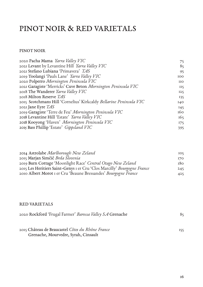## PINOT NOIR & RED VARIETALS

#### PINOT NOIR

| 2020 Pacha Mama Yarra Valley VIC                                   | 75         |
|--------------------------------------------------------------------|------------|
| 2021 Levant by Levantine Hill Yarra Valley VIC                     | 85         |
| 2021 Stefano Lubiana 'Primavera' TAS                               | 95         |
| 2019 Toolangi 'Pauls Lane' Yarra Valley VIC                        | 100        |
| 2020 Polperro Mornington Peninsula VIC                             | <b>IIO</b> |
| 2021 Garagiste 'Merricks' Cuve Beton Mornington Peninsula VIC      | II5        |
| 2018 The Wanderer Yarra Valley VIC                                 | 125        |
| 2018 Milton Reserve TAS                                            | 135        |
| 2015 Scotchmans Hill 'Cornelius' Kirkcaldy Bellarine Peninsula VIC | I40        |
| 2021 Jane Eyre $TAS$                                               | 145        |
| 2019 Garagiste 'Terre de Feu' Mornington Peninsula VIC             | 160        |
| 2018 Levantine Hill 'Estate' Yarra Valley VIC                      | 165        |
| 2018 Kooyong 'Haven' Mornington Peninsula VIC                      | 175        |
| 2015 Bass Phillip 'Estate' Gippsland VIC                           | 395        |
|                                                                    |            |

| 2014 Astrolabe Marlborough New Zeland                                    | IO <sub>5</sub> |
|--------------------------------------------------------------------------|-----------------|
| 2015 Marjan Simčič Brda Slovenia                                         | 170             |
| 2019 Burn Cottage 'Moonlight Race' Central Otago New Zeland              | 180             |
| 2015 Les Heritiers Saint-Genys I er Cru 'Clos Marcilly' Bourgogne France | 245             |
| 2010 Albert Morot I er Cru 'Beaune Bressandes' Bourgogne France          | 425             |

#### RED VARIETALS

| 2020 Rockford 'Frugal Farmer' Barossa Valley SA Grenache |     |
|----------------------------------------------------------|-----|
|                                                          |     |
| 2015 Château de Beaucastel Côtes du Rhône France         | 155 |
| Grenache, Mourvedre, Syrah, Cinsault                     |     |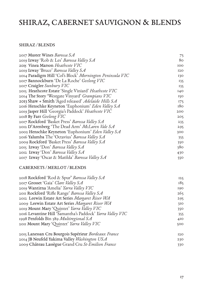# SHIRAZ, CABERNET SAUVIGNON & BLENDS

#### SHIRAZ / BLENDS

| 2017 Muster Wines Barossa SA                              | 75         |
|-----------------------------------------------------------|------------|
| 2019 Izway 'Rob & Les' Barossa Valley SA                  | 80         |
| 2015 Vinea Marson Heathcote VIC                           | <b>IOO</b> |
| 2019 Izway 'Bruce' Barossa Valley SA                      | <b>I20</b> |
| 2014 Paradigm Hill 'Col's Block' Mornington Peninsula VIC | 130        |
| 2017 Bannockburn 'De La Roche' Geelong VIC                | 135        |
| 2017 Craiglee Sunbury VIC                                 | 135        |
| 2015 Heathcote Estate 'Single Viniard' Heathcote VIC      | 140        |
| 2014 The Story 'Westgate Vinyard' Grampians VIC           | 150        |
| 2013 Shaw + Smith 'Aged released' Adelaide Hills SA       | 175        |
| 2016 Henschke Keyneton 'Euphonium' Eden Valley SA         | 180        |
| 2019 Jasper Hill 'Georgia's Paddock' Heathcote VIC        | 200        |
| 2018 By Farr Geelong VIC                                  | 205        |
| 2017 Rockford 'Basket Press' Barossa Valley SA            | 235        |
| 2012 D'Arenberg 'The Dead Arm' McLaren Vale SA            | 295        |
| 2002 Henschke Keyneton 'Euphonium' Eden Valley SA         | 300        |
| 2016 Yalumba The 'Octavius' Barossa Valley SA             | 355        |
| 2009 Rockford 'Basket Press' Barossa Valley SA            | 350        |
| 2015 Izway 'Don' Barossa Valley SA                        | 380        |
| 2012 Izway 'Don' Barossa Valley SA                        | 430        |
| 2017 Izway 'Oscar & Matilda' Barossa Valley SA            | 550        |

#### CABERNETS / MERLOT / BLENDS

| 2018 Rockford 'Rod & Spur' <i>Barossa Valley SA</i>              | 125             |
|------------------------------------------------------------------|-----------------|
| 2017 Grosset 'Gaia' Clare Valley SA                              | 185             |
| 2019 Wantirna 'Amelia' <i>Yarra Valley VIC</i>                   | 190             |
| 2011 Rockford 'Rifle Range' <i>Barossa Valley S.A</i>            | 265             |
| 2012 Leewin Estate Art Series Margaret River WA                  | 295             |
| 2009 Leewin Estate Art Series Margaret River WA                  | 310             |
| 2019 Mount Mary 'Quintet' <i>Yarra Valley VIC</i>                | 350             |
| 2016 Levantine Hill 'Samantha's Paddock' <i>Yarra Valley VIC</i> | 355             |
| 1998 Penfolds Bin 389 Multiregional SA                           | 4I <sub>0</sub> |
| 2011 Mount Mary 'Quintet' Yarra Valley VIC                       | 500             |
|                                                                  |                 |

| 2015 Lanessan Cru Bourgois Supérieur Bordeaux France | 120 |
|------------------------------------------------------|-----|
| 2014 JB Neufeld Yakima Valley Washington USA         | 230 |
| 2009 Château Lassègue Grand Cru St-Emilion France    | 330 |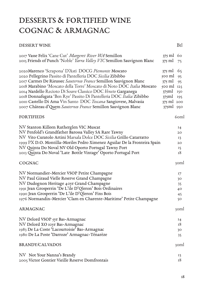# DESSERTS & FORTIFIED WINE COGNAC & ARMAGNAC

#### DESSERT WINE

| 2017 Vasse Felix 'Cane Cut' Margeret River WA Semillon<br>2015 Friends of Punch 'Noble' Yarra Valley VIC Semillon Sauvignon Blanc                                                                                                                                                                                                                                                                                                                                                                                                             | $375$ ml $60$<br>$375$ ml                                                                                   | 75                               |
|-----------------------------------------------------------------------------------------------------------------------------------------------------------------------------------------------------------------------------------------------------------------------------------------------------------------------------------------------------------------------------------------------------------------------------------------------------------------------------------------------------------------------------------------------|-------------------------------------------------------------------------------------------------------------|----------------------------------|
| 2020 Marenco 'Scrapona' D'Asti DOCG Piemonte Moscato<br>2020 Pellegrino Passito di Pantelleria DOC Sicilia Zibibbo<br>2017 Carmes De Rieussec Sauternes France Semillon Sauvignon Blanc<br>2018 Marabino 'Moscato della Torre' Moscato di Noto DOC Italia Moscato<br>2014 Nardello Recioto Di Soave Classico DOC Veneto Garganega<br>2018 Donnafugata 'Ben Rye' Passito Di Pantelleria DOC Italia Zibibbo<br>2010 Castello Di Ama Vin Santo DOC Toscana Sangiovese, Malvasia<br>2007 Château d'Quem Sauternes France Semillon Sauvignon Blanc | 375 ml<br>$500$ ml<br>$375$ ml<br>$500 \text{ ml}$ $125$<br>$375$ ml<br>$375$ ml<br>375 ml 200<br>375ml 950 | 65<br>95<br>95<br>150<br>195     |
| <b>FORTIFIEDS</b>                                                                                                                                                                                                                                                                                                                                                                                                                                                                                                                             |                                                                                                             | 6 <sub>oml</sub>                 |
| NV Stanton Killeen Rutherglen VIC Muscat<br>NV Penfold's Grandfather Barossa Valley SA Rare Tawny<br>NV Vito Curatolo Artini Marsala Dolce DOC Sicilia Grillo Catarratto<br>1999 PX D.O. Montilla-Moriles Pedro Ximenez Aguilar De la Fronteira Spain<br>NV Quinta Do Noval NV Old Oporto Portugal Tawny Port<br>2013 Quinta Do Noval 'Late Bottle Vintage' Oporto Portugal Port                                                                                                                                                              |                                                                                                             | 14<br>20<br>13<br>20<br>15<br>18 |
| <b>COGNAC</b>                                                                                                                                                                                                                                                                                                                                                                                                                                                                                                                                 |                                                                                                             | 30ml                             |
| NV Normandier-Mercier VSOP Petite Champagne<br>NV Paul Giraud Vielle Reserve Grand Champagne<br>NV Dudognon Heritage 40yr Grand Champagne<br>1991 Jean Grosperrin 'De L'ile D'Qleron' Bois Ordinaires<br>1990 Jean Grosperrin 'De L'ile D'Qleron' Fins Bois<br>1976 Normandin-Mercier 'Clam en Charente-Maritime' Petite Champagne                                                                                                                                                                                                            |                                                                                                             | 17<br>30<br>35<br>40<br>45<br>50 |
| ARMAGNAC                                                                                                                                                                                                                                                                                                                                                                                                                                                                                                                                      |                                                                                                             | 30ml                             |
| NV Delord VSOP 5yr Bas-Armagnac<br>NV Delord XO 10yr Bas-Armagnac<br>1983 De La Coste 'Lacourtoisie' Bas-Armagnac<br>1980 De La Poste 'Darroze' Armagnac-Ténarèze<br><b>BRANDY/CALVADOS</b>                                                                                                                                                                                                                                                                                                                                                   |                                                                                                             | 14<br>18<br>30<br>35<br>30ml     |
| NV Not Your Nanna's Brandy<br>2005 Victor Gontier Vieille Reserve Domfrontais                                                                                                                                                                                                                                                                                                                                                                                                                                                                 |                                                                                                             | 13<br>18                         |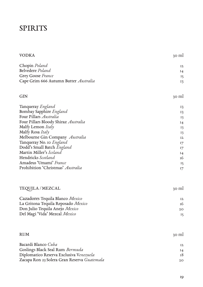### SPIRITS

| <b>VODKA</b>                                | 30 ml |
|---------------------------------------------|-------|
| Chopin Poland                               | 12    |
| <b>Belvedere</b> Poland                     | I4    |
| Grey Goose France                           | 15    |
| Cape Grim 666 Autumn Butter Australia       | 13    |
|                                             |       |
| <b>GIN</b>                                  | 30 ml |
| Tanqueray England                           | 13    |
| Bombay Sapphire England                     | 13    |
| Four Pillars Australia                      | 13    |
| Four Pillars Bloody Shiraz Australia        | I4    |
| Malfy Lemon <i>Italy</i>                    | 13    |
| Malfy Rosa Italy                            | 13    |
| Melbourne Gin Company Australia             | 12    |
| Tanqueray No. 10 <i>England</i>             | 17    |
| Dodd's Small Batch England                  | 17    |
| Martin Miller's Iceland                     | I4    |
| Hendricks Scotland                          | 16    |
| Amadeus 'Umami' France                      | 15    |
| Prohibition 'Christmas' Australia           | I7    |
| <b>TEQUILA / MEZCAL</b>                     | 30 ml |
| Cazadores Tequila Blanco Mexico             | 12    |
| La Gritona Tequila Reposado Mexico          | 16    |
| Don Julio Tequila Anejo Mexico              | 20    |
| Del Magi 'Vida' Mezcal Mexico               | 15    |
|                                             |       |
| <b>RUM</b>                                  | 30 ml |
| Bacardi Blanco Cuba                         | 12    |
| Goslings Black Seal Rum Bermuda             | 14    |
| Diplomatico Reserva Exclusiva Venezuela     | 18    |
| Zacapa Ron 23 Solera Gran Reserva Guatemala | 20    |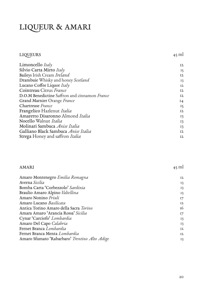# LIQUEUR & AMARI

#### LIQUEURS

AMARI

45 ml

| Limoncello Italy                              | 12 |
|-----------------------------------------------|----|
| Silvio Carta Mirto Italy                      | 15 |
| Baileys Irish Cream Ireland                   | 12 |
| Drambuie Whisky and honey Scotland            | 13 |
| Lucano Coffee Liquor Italy                    | 12 |
| Cointreau Citrus France                       | 12 |
| D.O.M Benedictine Saffron and cinnamon France | 12 |
| Grand Marnier Orange France                   | I4 |
| Chartreuse France                             | 15 |
| Frangelico Hazlenut Italia                    | 12 |
| Amaretto Disaronno Almond Italia              | 13 |
| Nocello Walnut Italia                         | 13 |
| Molinari Sambuca Anise Italia                 | 13 |
| Galliano Black Sambuca Anise Italia           | 12 |
| Strega Honey and saffron Italia               | 12 |
|                                               |    |

#### Amaro Montenegro *Emilia Romagna* Averna *Sicilia*  Bomba Carta 'Corbezzolo' *Sardinia* Braulio Amaro Alpino *Valtellina* Amaro Nonino *Friuli* Amaro Lucano *Basilicata* Antica Torino Amaro della Sacra *Torino*

| Amara Amaro 'Arancia Rossa' Sicilia           |    |
|-----------------------------------------------|----|
| Cynar 'Carciofo' Lombardia                    | 13 |
| Amaro Del Capo Calabria                       | 13 |
| Fernet Branca <i>Lombardia</i>                | 12 |
| Fernet Branca Menta <i>Lombardia</i>          | 12 |
| Amaro Sfumato 'Rabarbaro' Trentino Alto Adige | 13 |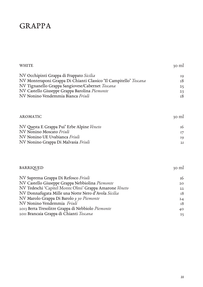### GRAPPA

| <b>WHITE</b>                                                      | 30 ml |
|-------------------------------------------------------------------|-------|
| NV Occhipinti Grappa di Frappato Sicilia                          | 19    |
| NV Monteraponi Grappa Di Chianti Classico 'Il Campitello' Toscana | 18    |
| NV Tignanello Grappa Sangiovese/Cabernet Toscana                  | 25    |
| NV Castello Giuseppe Grappa Barolina Piemonte                     | 23    |
| NV Nonino Vendemmia Bianca Friuli                                 | 18    |
| <b>AROMATIC</b>                                                   | 30 ml |
| NV Questa E Grappa Pui' Erbe Alpine Veneto                        | 16    |
| NV Nonino Moscato Friuli                                          | 17    |
| NV Nonino UE Uvabianca Friuli                                     | 19    |
| NV Nonino Grappa Di Malvasia Friuli                               | 2I    |
|                                                                   |       |
| <b>BARRIQUED</b>                                                  | 30 ml |
| NV Suprema Grappa Di Refosco Friuli                               | 16    |
| NV Castello Giuseppe Grappa Nebbiolina Piemonte                   | 20    |
| NV Tedeschi 'Capitel Monte Olmi' Grappa Amarone Veneto            | 22    |
| NV Donnafugata Mille una Notte Nero d'Avola Sicilia               | 18    |
| NV Marolo Grappa Di Barolo 9 yo Piemonte                          | 24    |
| NV Nonino Vendemmia Friuli                                        | 18    |
| 2013 Berta Tresolitre Grappa di Nebbiolo Piemonte                 | 40    |
| 2011 Brancaia Grappa di Chianti Toscana                           | 25    |
|                                                                   |       |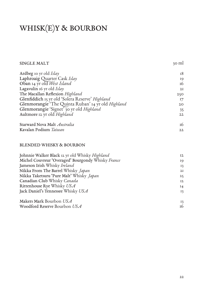# WHISK(E)Y & BOURBON

#### SINGLE MALT

30 ml

| Ardbeg 10 yr old Islay                             | 18  |
|----------------------------------------------------|-----|
| Laphroaig Quarter Cask Islay                       | 19  |
| Oban 14 yr old West Island                         | 16  |
| Lagavulin 16 yr old Islay                          | 2I  |
| The Macallan Reflexion Highland                    | 250 |
| Glenfiddich 15 yr old 'Solera Reserve' Highland    | I7  |
| Glenmorangie 'The Quinta Ruban' 14 yr old Highland | 20  |
| Glenmorangie 'Signet' 30 yr old Highland           | 35  |
| Aultmore 12 yr old Highland                        | 22  |
| Starward Nova Malt Australia                       | 16  |
| Kavalan Podium Taiwan                              | 22  |

#### BLENDED WHISKY & BOURBON

| Johnnie Walker Black 12 yr old Whisky Highland     | 12 |
|----------------------------------------------------|----|
| Michel Couvreur 'Overaged' Bourgondy Whisky France | 19 |
| Jameson Irish Whisky Ireland                       | 13 |
| Nikka From The Barrel Whisky Japan                 | 2I |
| Nikka Taketsuru 'Pure Malt' Whisky Japan           | 25 |
| Canadian Club Whisky Canada                        | 12 |
| Rittenhouse Rye Whisky USA                         | 14 |
| Jack Daniel's Tennessee Whisky USA                 | 13 |
| Makers Mark Bourbon USA                            | 13 |
| Woodford Reserve Bourbon USA                       | 16 |